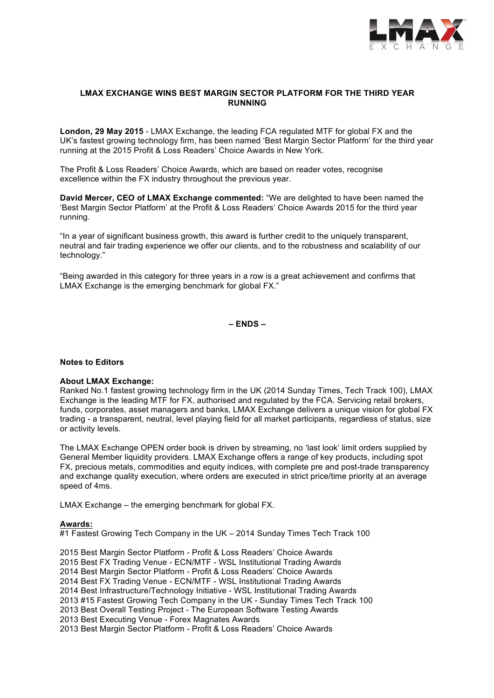

## **LMAX EXCHANGE WINS BEST MARGIN SECTOR PLATFORM FOR THE THIRD YEAR RUNNING**

**London, 29 May 2015** - LMAX Exchange, the leading FCA regulated MTF for global FX and the UK's fastest growing technology firm, has been named 'Best Margin Sector Platform' for the third year running at the 2015 Profit & Loss Readers' Choice Awards in New York.

The Profit & Loss Readers' Choice Awards, which are based on reader votes, recognise excellence within the FX industry throughout the previous year.

**David Mercer, CEO of LMAX Exchange commented:** "We are delighted to have been named the 'Best Margin Sector Platform' at the Profit & Loss Readers' Choice Awards 2015 for the third year running.

"In a year of significant business growth, this award is further credit to the uniquely transparent, neutral and fair trading experience we offer our clients, and to the robustness and scalability of our technology."

"Being awarded in this category for three years in a row is a great achievement and confirms that LMAX Exchange is the emerging benchmark for global FX."

**– ENDS –**

#### **Notes to Editors**

#### **About LMAX Exchange:**

Ranked No.1 fastest growing technology firm in the UK (2014 Sunday Times, Tech Track 100), LMAX Exchange is the leading MTF for FX, authorised and regulated by the FCA. Servicing retail brokers, funds, corporates, asset managers and banks, LMAX Exchange delivers a unique vision for global FX trading - a transparent, neutral, level playing field for all market participants, regardless of status, size or activity levels.

The LMAX Exchange OPEN order book is driven by streaming, no 'last look' limit orders supplied by General Member liquidity providers. LMAX Exchange offers a range of key products, including spot FX, precious metals, commodities and equity indices, with complete pre and post-trade transparency and exchange quality execution, where orders are executed in strict price/time priority at an average speed of 4ms.

LMAX Exchange – the emerging benchmark for global FX.

#### **Awards:**

#1 Fastest Growing Tech Company in the UK – 2014 Sunday Times Tech Track 100

2015 Best Margin Sector Platform - Profit & Loss Readers' Choice Awards 2015 Best FX Trading Venue - ECN/MTF - WSL Institutional Trading Awards 2014 Best Margin Sector Platform - Profit & Loss Readers' Choice Awards 2014 Best FX Trading Venue - ECN/MTF - WSL Institutional Trading Awards 2014 Best Infrastructure/Technology Initiative - WSL Institutional Trading Awards 2013 #15 Fastest Growing Tech Company in the UK - Sunday Times Tech Track 100 2013 Best Overall Testing Project - The European Software Testing Awards 2013 Best Executing Venue - Forex Magnates Awards 2013 Best Margin Sector Platform - Profit & Loss Readers' Choice Awards